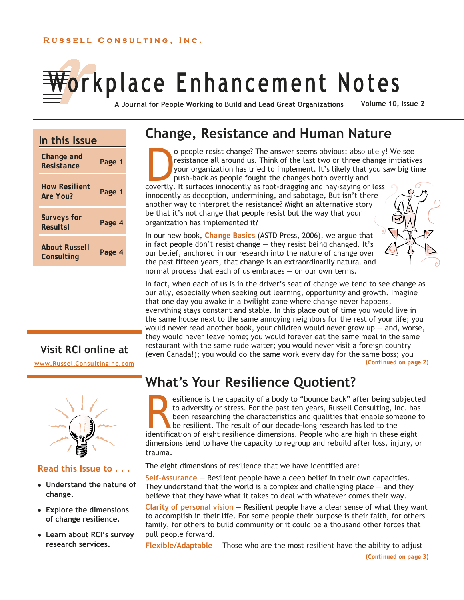### **R USSELL C ONSULTING , I N C .**

# **Workplace Enhancement Notes**

**A Journal for People Working to Build and Lead Great Organizations Volume 10, Issue 2** 

# **In this Issue**

| Change and<br>Resistance             | Page 1 |
|--------------------------------------|--------|
| <b>How Resilient</b><br>Are You?     | Page 1 |
| <b>Surveys for</b><br><b>Results</b> | Page 4 |
| <b>About Russell</b><br>Consulting   | Page 4 |

# **Visit** *RCI* **online at**

**www.RussellConsultingInc.com**



# **Read this Issue to . . .**

- **Understand the nature of change.**
- **Explore the dimensions of change resilience.**
- **Learn about RCI's survey research services.**

# **Change, Resistance and Human Nature**

**D**o people resist change? The answer seems obvious: *absolutely!* We see<br>resistance all around us. Think of the last two or three change initiative<br>your organization has tried to implement. It's likely that you saw big ti resistance all around us. Think of the last two or three change initiatives your organization has tried to implement. It's likely that you saw big time push-back as people fought the changes both overtly and covertly. It surfaces innocently as foot-dragging and nay-saying or less

innocently as deception, undermining, and sabotage, But isn't there another way to interpret the resistance? Might an alternative story be that it's not change that people resist but the way that your organization has implemented it?

In our new book, *Change Basics* (ASTD Press, 2006), we argue that in fact people *don't* resist change — they resist *being* changed. It's our belief, anchored in our research into the nature of change over the past fifteen years, that change is an extraordinarily natural and normal process that each of us embraces — on our own terms.



In fact, when each of us is in the driver's seat of change we tend to see change as our ally, especially when seeking out learning, opportunity and growth. Imagine that one day you awake in a twilight zone where change never happens, everything stays constant and stable. In this place out of time you would live in the same house next to the same annoying neighbors for the rest of your life; you would never read another book, your children would never grow  $up -$  and, worse, they would *never* leave home; you would forever eat the same meal in the same restaurant with the same rude waiter; you would never visit a foreign country (even Canada!); you would do the same work every day for the same boss; you *(Continued on page 2)* 

# **What's Your Resilience Quotient?**

**Resilience is the capacity of a body to "bounce back" after being subjected** to adversity or stress. For the past ten years, Russell Consulting, Inc. has been researching the characteristics and qualities that enable some to adversity or stress. For the past ten years, Russell Consulting, Inc. has been researching the characteristics and qualities that enable someone to be resilient. The result of our decade-long research has led to the identification of eight resilience dimensions. People who are high in these eight dimensions tend to have the capacity to regroup and rebuild after loss, injury, or trauma.

The eight dimensions of resilience that we have identified are:

**Self-Assurance** — Resilient people have a deep belief in their own capacities. They understand that the world is a complex and challenging place  $-$  and they believe that they have what it takes to deal with whatever comes their way.

**Clarity of personal vision** — Resilient people have a clear sense of what they want to accomplish in their life. For some people their purpose is their faith, for others family, for others to build community or it could be a thousand other forces that pull people forward.

**Flexible/Adaptable** — Those who are the most resilient have the ability to adjust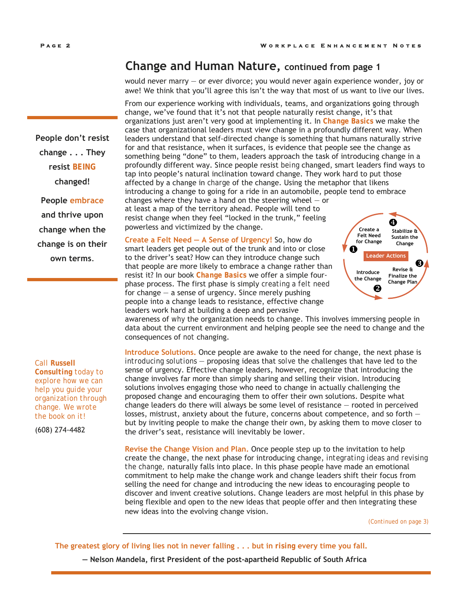# **Change and Human Nature, continued from page 1**

would never marry — or ever divorce; you would never again experience wonder, joy or awe! We think that you'll agree this isn't the way that most of us want to live our lives.

From our experience working with individuals, teams, and organizations going through change, we've found that it's not that people naturally resist change, it's that organizations just aren't very good at implementing it. In *Change Basics* we make the case that organizational leaders must view change in a profoundly different way. When leaders understand that self-directed change is something that humans naturally strive for and that resistance, when it surfaces, is evidence that people see the change as something being "done" to them, leaders approach the task of introducing change in a profoundly different way. Since people resist *being* changed, smart leaders find ways to tap into people's natural inclination toward change. They work hard to put those affected by a change in *charge* of the change. Using the metaphor that likens introducing a change to going for a ride in an automobile, people tend to embrace

changes where they have a hand on the steering wheel  $-$  or at least a map of the territory ahead. People will tend to resist change when they feel "locked in the trunk," feeling powerless and victimized by the change.

**Create a Felt Need — A Sense of Urgency!** So, how do smart leaders get people out of the trunk and into or close to the driver's seat? How can they introduce change such that people are more likely to embrace a change rather than resist it? In our book *Change Basics* we offer a simple fourphase process. The first phase is simply *creating a felt need* for change  $-$  a sense of urgency. Since merely pushing people into a change leads to resistance, effective change leaders work hard at building a deep and pervasive



awareness of *why* the organization needs to change. This involves immersing people in data about the current environment and helping people see the need to change and the consequences of *not* changing.

**Introduce Solutions.** Once people are awake to the need for change, the next phase is *introducing solutions* — proposing ideas that *solve* the challenges that have led to the sense of urgency. Effective change leaders, however, recognize that introducing the change involves far more than simply sharing and selling their vision. Introducing solutions involves engaging those who need to change in actually challenging the proposed change and encouraging them to offer their own solutions. Despite what change leaders do there will always be some level of resistance — rooted in perceived losses, mistrust, anxiety about the future, concerns about competence, and so forth  $$ but by inviting people to make the change their own, by asking them to move closer to the driver's seat, resistance will inevitably be lower.

**Revise the Change Vision and Plan.** Once people step up to the invitation to help create the change, the next phase for introducing change, *integrating ideas and revising the change,* naturally falls into place. In this phase people have made an emotional commitment to help make the change work and change leaders shift their focus from selling the need for change and introducing the new ideas to encouraging people to discover and invent creative solutions. Change leaders are most helpful in this phase by being flexible and open to the new ideas that people offer and then integrating these new ideas into the evolving change vision.

*(Continued on page 3)* 

**The greatest glory of living lies not in never falling . . . but in** *rising* **every time you fall.** 

**— Nelson Mandela, first President of the post-apartheid Republic of South Africa**

**People don't resist change . . . They resist** *BEING*  **changed!** 

**People embrace and thrive upon change when the change is on their own terms**.

#### *Call Russell Consulting today to explore how we can help you guide your organization through change. We wrote the book on it!*

(608) 274-4482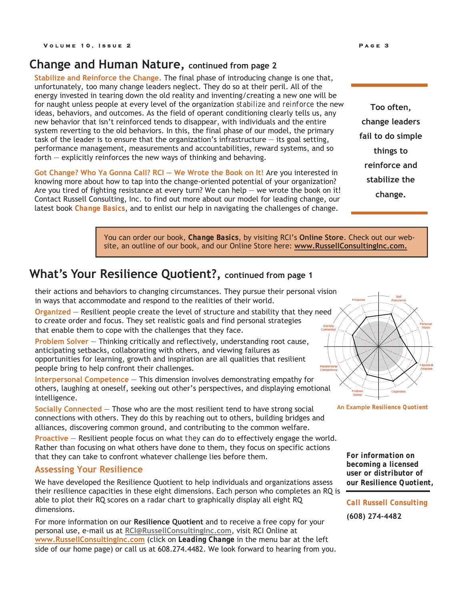# **Change and Human Nature, continued from page 2**

**Stabilize and Reinforce the Change.** The final phase of introducing change is one that, unfortunately, too many change leaders neglect. They do so at their peril. All of the energy invested in tearing down the old reality and inventing/creating a new one will be for naught unless people at every level of the organization *stabilize and reinforce* the new ideas, behaviors, and outcomes. As the field of operant conditioning clearly tells us, any new behavior that isn't reinforced tends to disappear, with individuals and the entire system reverting to the old behaviors. In this, the final phase of our model, the primary task of the leader is to ensure that the organization's infrastructure — its goal setting, performance management, measurements and accountabilities, reward systems, and so forth — explicitly reinforces the new ways of thinking and behaving.

**Got Change? Who Ya Gonna Call? RCI — We Wrote the Book on It!** Are you interested in knowing more about how to tap into the change-oriented potential of your organization? Are you tired of fighting resistance at every turn? We can help  $-$  we wrote the book on it! Contact Russell Consulting, Inc. to find out more about our model for leading change, our latest book *Change Basics*, and to enlist our help in navigating the challenges of change.

**Too often, change leaders fail to do simple things to reinforce and stabilize the change.**

You can order our book, *Change Basics*, by visiting RCI's **Online Store**. Check out our website, an outline of our book, and our Online Store here: **www.RussellConsultingInc.com.**

# **What's Your Resilience Quotient?, continued from page 1**

their actions and behaviors to changing circumstances. They pursue their personal vision in ways that accommodate and respond to the realities of their world.

**Organized** — Resilient people create the level of structure and stability that they need to create order and focus. They set realistic goals and find personal strategies that enable them to cope with the challenges that they face.

**Problem Solver** — Thinking critically and reflectively, understanding root cause, anticipating setbacks, collaborating with others, and viewing failures as opportunities for learning, growth and inspiration are all qualities that resilient people bring to help confront their challenges.

**Interpersonal Competence** — This dimension involves demonstrating empathy for others, laughing at oneself, seeking out other's perspectives, and displaying emotional intelligence.

**Socially Connected** — Those who are the most resilient tend to have strong social connections with others. They do this by reaching out to others, building bridges and alliances, discovering common ground, and contributing to the common welfare.

**Proactive** — Resilient people focus on what *they* can do to effectively engage the world. Rather than focusing on what others have done to them, they focus on specific actions that they can take to confront whatever challenge lies before them.

## **Assessing Your Resilience**

We have developed the Resilience Quotient to help individuals and organizations assess their resilience capacities in these eight dimensions. Each person who completes an RQ is able to plot their RQ scores on a radar chart to graphically display all eight RQ dimensions.

For more information on our **Resilience Quotient** and to receive a free copy for your personal use, e-mail us at **RCI@RussellConsultingInc.com**, visit RCI Online at **www.RussellConsultingInc.com** (click on *Leading Change* in the menu bar at the left side of our home page) or call us at 608.274.4482. We look forward to hearing from you.





*For information on becoming a licensed user or distributor of our Resilience Quotient,* 

*Call Russell Consulting* 

**(608) 274-4482**